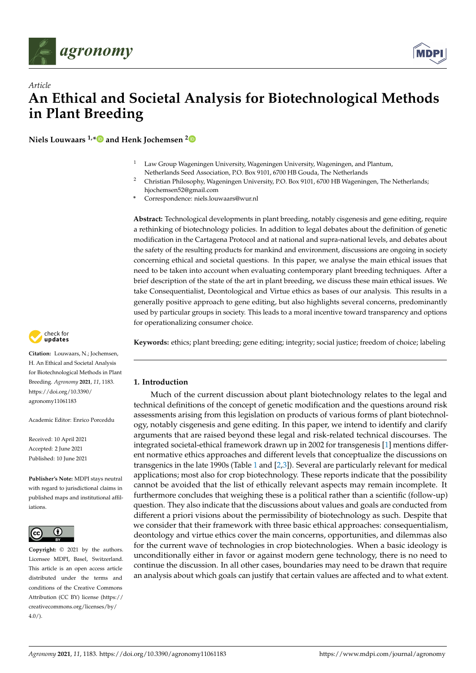



**Niels Louwaars 1,[\\*](https://orcid.org/0000-0003-1577-6154) and Henk Jochemsen [2](https://orcid.org/0000-0001-9262-3675)**

- $1$  Law Group Wageningen University, Wageningen University, Wageningen, and Plantum, Netherlands Seed Association, P.O. Box 9101, 6700 HB Gouda, The Netherlands
- <sup>2</sup> Christian Philosophy, Wageningen University, P.O. Box 9101, 6700 HB Wageningen, The Netherlands; hjochemsen52@gmail.com
- **\*** Correspondence: niels.louwaars@wur.nl

**Abstract:** Technological developments in plant breeding, notably cisgenesis and gene editing, require a rethinking of biotechnology policies. In addition to legal debates about the definition of genetic modification in the Cartagena Protocol and at national and supra-national levels, and debates about the safety of the resulting products for mankind and environment, discussions are ongoing in society concerning ethical and societal questions. In this paper, we analyse the main ethical issues that need to be taken into account when evaluating contemporary plant breeding techniques. After a brief description of the state of the art in plant breeding, we discuss these main ethical issues. We take Consequentialist, Deontological and Virtue ethics as bases of our analysis. This results in a generally positive approach to gene editing, but also highlights several concerns, predominantly used by particular groups in society. This leads to a moral incentive toward transparency and options for operationalizing consumer choice.

check for **-**

**Citation:** Louwaars, N.; Jochemsen, H. An Ethical and Societal Analysis for Biotechnological Methods in Plant Breeding. *Agronomy* **2021**, *11*, 1183. [https://doi.org/10.3390/](https://doi.org/10.3390/agronomy11061183) [agronomy11061183](https://doi.org/10.3390/agronomy11061183)

Academic Editor: Enrico Porceddu

Received: 10 April 2021 Accepted: 2 June 2021 Published: 10 June 2021

**Publisher's Note:** MDPI stays neutral with regard to jurisdictional claims in published maps and institutional affiliations.



**Copyright:** © 2021 by the authors. Licensee MDPI, Basel, Switzerland. This article is an open access article distributed under the terms and conditions of the Creative Commons Attribution (CC BY) license (https:/[/](https://creativecommons.org/licenses/by/4.0/) [creativecommons.org/licenses/by/](https://creativecommons.org/licenses/by/4.0/)  $4.0/$ ).

**Keywords:** ethics; plant breeding; gene editing; integrity; social justice; freedom of choice; labeling

# **1. Introduction**

Much of the current discussion about plant biotechnology relates to the legal and technical definitions of the concept of genetic modification and the questions around risk assessments arising from this legislation on products of various forms of plant biotechnology, notably cisgenesis and gene editing. In this paper, we intend to identify and clarify arguments that are raised beyond these legal and risk-related technical discourses. The integrated societal-ethical framework drawn up in 2002 for transgenesis [\[1\]](#page-11-0) mentions different normative ethics approaches and different levels that conceptualize the discussions on transgenics in the late 1990s (Table [1](#page-1-0) and [\[2](#page-11-1)[,3\]](#page-11-2)). Several are particularly relevant for medical applications; most also for crop biotechnology. These reports indicate that the possibility cannot be avoided that the list of ethically relevant aspects may remain incomplete. It furthermore concludes that weighing these is a political rather than a scientific (follow-up) question. They also indicate that the discussions about values and goals are conducted from different a priori visions about the permissibility of biotechnology as such. Despite that we consider that their framework with three basic ethical approaches: consequentialism, deontology and virtue ethics cover the main concerns, opportunities, and dilemmas also for the current wave of technologies in crop biotechnologies. When a basic ideology is unconditionally either in favor or against modern gene technology, there is no need to continue the discussion. In all other cases, boundaries may need to be drawn that require an analysis about which goals can justify that certain values are affected and to what extent.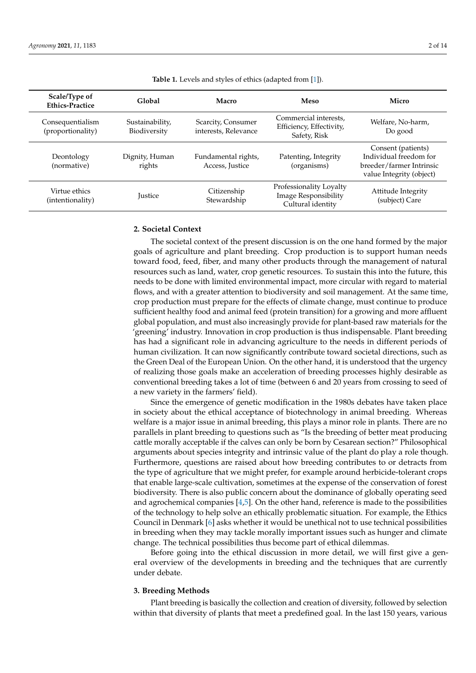<span id="page-1-0"></span>

| Scale/Type of<br><b>Ethics-Practice</b> | Global                          | Macro                                      | Meso                                                                 | Micro                                                                                                |
|-----------------------------------------|---------------------------------|--------------------------------------------|----------------------------------------------------------------------|------------------------------------------------------------------------------------------------------|
| Consequentialism<br>(proportionality)   | Sustainability,<br>Biodiversity | Scarcity, Consumer<br>interests, Relevance | Commercial interests,<br>Efficiency, Effectivity,<br>Safety, Risk    | Welfare, No-harm,<br>Do good                                                                         |
| Deontology<br>(normative)               | Dignity, Human<br>rights        | Fundamental rights,<br>Access, Justice     | Patenting, Integrity<br>(organisms)                                  | Consent (patients)<br>Individual freedom for<br>breeder/farmer Intrinsic<br>value Integrity (object) |
| Virtue ethics<br>(intentionality)       | <b>Lustice</b>                  | Citizenship<br>Stewardship                 | Professionality Loyalty<br>Image Responsibility<br>Cultural identity | Attitude Integrity<br>(subject) Care                                                                 |

**Table 1.** Levels and styles of ethics (adapted from [\[1\]](#page-11-0)).

### **2. Societal Context**

The societal context of the present discussion is on the one hand formed by the major goals of agriculture and plant breeding. Crop production is to support human needs toward food, feed, fiber, and many other products through the management of natural resources such as land, water, crop genetic resources. To sustain this into the future, this needs to be done with limited environmental impact, more circular with regard to material flows, and with a greater attention to biodiversity and soil management. At the same time, crop production must prepare for the effects of climate change, must continue to produce sufficient healthy food and animal feed (protein transition) for a growing and more affluent global population, and must also increasingly provide for plant-based raw materials for the 'greening' industry. Innovation in crop production is thus indispensable. Plant breeding has had a significant role in advancing agriculture to the needs in different periods of human civilization. It can now significantly contribute toward societal directions, such as the Green Deal of the European Union. On the other hand, it is understood that the urgency of realizing those goals make an acceleration of breeding processes highly desirable as conventional breeding takes a lot of time (between 6 and 20 years from crossing to seed of a new variety in the farmers' field).

Since the emergence of genetic modification in the 1980s debates have taken place in society about the ethical acceptance of biotechnology in animal breeding. Whereas welfare is a major issue in animal breeding, this plays a minor role in plants. There are no parallels in plant breeding to questions such as "Is the breeding of better meat producing cattle morally acceptable if the calves can only be born by Cesarean section?" Philosophical arguments about species integrity and intrinsic value of the plant do play a role though. Furthermore, questions are raised about how breeding contributes to or detracts from the type of agriculture that we might prefer, for example around herbicide-tolerant crops that enable large-scale cultivation, sometimes at the expense of the conservation of forest biodiversity. There is also public concern about the dominance of globally operating seed and agrochemical companies  $[4,5]$  $[4,5]$ . On the other hand, reference is made to the possibilities of the technology to help solve an ethically problematic situation. For example, the Ethics Council in Denmark [\[6\]](#page-11-5) asks whether it would be unethical not to use technical possibilities in breeding when they may tackle morally important issues such as hunger and climate change. The technical possibilities thus become part of ethical dilemmas.

Before going into the ethical discussion in more detail, we will first give a general overview of the developments in breeding and the techniques that are currently under debate.

## **3. Breeding Methods**

Plant breeding is basically the collection and creation of diversity, followed by selection within that diversity of plants that meet a predefined goal. In the last 150 years, various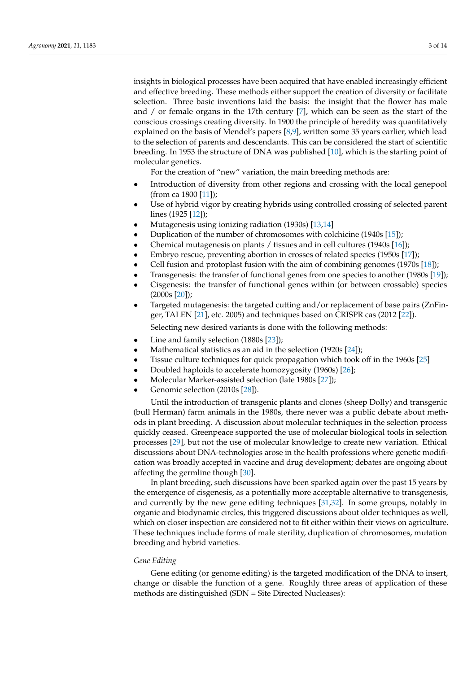insights in biological processes have been acquired that have enabled increasingly efficient and effective breeding. These methods either support the creation of diversity or facilitate selection. Three basic inventions laid the basis: the insight that the flower has male and / or female organs in the 17th century [\[7\]](#page-11-6), which can be seen as the start of the conscious crossings creating diversity. In 1900 the principle of heredity was quantitatively explained on the basis of Mendel's papers [\[8,](#page-11-7)[9\]](#page-11-8), written some 35 years earlier, which lead to the selection of parents and descendants. This can be considered the start of scientific breeding. In 1953 the structure of DNA was published [\[10\]](#page-11-9), which is the starting point of molecular genetics.

For the creation of "new" variation, the main breeding methods are:

- Introduction of diversity from other regions and crossing with the local genepool (from ca 1800 [\[11\]](#page-11-10));
- Use of hybrid vigor by creating hybrids using controlled crossing of selected parent lines (1925 [\[12\]](#page-11-11));
- Mutagenesis using ionizing radiation (1930s) [\[13,](#page-11-12)[14\]](#page-11-13)
- Duplication of the number of chromosomes with colchicine (1940s [\[15\]](#page-11-14));
- Chemical mutagenesis on plants / tissues and in cell cultures (1940s [\[16\]](#page-11-15));
- Embryo rescue, preventing abortion in crosses of related species (1950s [\[17\]](#page-11-16));
- Cell fusion and protoplast fusion with the aim of combining genomes (1970s [\[18\]](#page-11-17));
- Transgenesis: the transfer of functional genes from one species to another (1980s [\[19\]](#page-11-18));
- Cisgenesis: the transfer of functional genes within (or between crossable) species (2000s [\[20\]](#page-11-19));
- Targeted mutagenesis: the targeted cutting and/or replacement of base pairs (ZnFin-ger, TALEN [\[21\]](#page-11-20), etc. 2005) and techniques based on CRISPR cas (2012 [\[22\]](#page-12-0)).

Selecting new desired variants is done with the following methods:

- Line and family selection (1880s [\[23\]](#page-12-1));
- Mathematical statistics as an aid in the selection (1920s [\[24\]](#page-12-2));
- Tissue culture techniques for quick propagation which took off in the 1960s [\[25\]](#page-12-3)
- Doubled haploids to accelerate homozygosity (1960s) [\[26\]](#page-12-4);
- Molecular Marker-assisted selection (late 1980s [\[27\]](#page-12-5));
- Genomic selection (2010s [\[28\]](#page-12-6)).

Until the introduction of transgenic plants and clones (sheep Dolly) and transgenic (bull Herman) farm animals in the 1980s, there never was a public debate about methods in plant breeding. A discussion about molecular techniques in the selection process quickly ceased. Greenpeace supported the use of molecular biological tools in selection processes [\[29\]](#page-12-7), but not the use of molecular knowledge to create new variation. Ethical discussions about DNA-technologies arose in the health professions where genetic modification was broadly accepted in vaccine and drug development; debates are ongoing about affecting the germline though [\[30\]](#page-12-8).

In plant breeding, such discussions have been sparked again over the past 15 years by the emergence of cisgenesis, as a potentially more acceptable alternative to transgenesis, and currently by the new gene editing techniques [\[31](#page-12-9)[,32\]](#page-12-10). In some groups, notably in organic and biodynamic circles, this triggered discussions about older techniques as well, which on closer inspection are considered not to fit either within their views on agriculture. These techniques include forms of male sterility, duplication of chromosomes, mutation breeding and hybrid varieties.

#### *Gene Editing*

Gene editing (or genome editing) is the targeted modification of the DNA to insert, change or disable the function of a gene. Roughly three areas of application of these methods are distinguished (SDN = Site Directed Nucleases):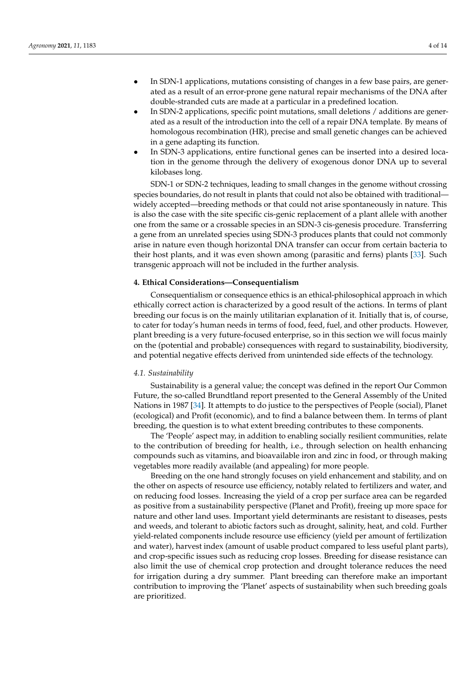- In SDN-1 applications, mutations consisting of changes in a few base pairs, are generated as a result of an error-prone gene natural repair mechanisms of the DNA after double-stranded cuts are made at a particular in a predefined location.
- In SDN-2 applications, specific point mutations, small deletions / additions are generated as a result of the introduction into the cell of a repair DNA template. By means of homologous recombination (HR), precise and small genetic changes can be achieved in a gene adapting its function.
- In SDN-3 applications, entire functional genes can be inserted into a desired location in the genome through the delivery of exogenous donor DNA up to several kilobases long.

SDN-1 or SDN-2 techniques, leading to small changes in the genome without crossing species boundaries, do not result in plants that could not also be obtained with traditional widely accepted—breeding methods or that could not arise spontaneously in nature. This is also the case with the site specific cis-genic replacement of a plant allele with another one from the same or a crossable species in an SDN-3 cis-genesis procedure. Transferring a gene from an unrelated species using SDN-3 produces plants that could not commonly arise in nature even though horizontal DNA transfer can occur from certain bacteria to their host plants, and it was even shown among (parasitic and ferns) plants [\[33\]](#page-12-11). Such transgenic approach will not be included in the further analysis.

# **4. Ethical Considerations—Consequentialism**

Consequentialism or consequence ethics is an ethical-philosophical approach in which ethically correct action is characterized by a good result of the actions. In terms of plant breeding our focus is on the mainly utilitarian explanation of it. Initially that is, of course, to cater for today's human needs in terms of food, feed, fuel, and other products. However, plant breeding is a very future-focused enterprise, so in this section we will focus mainly on the (potential and probable) consequences with regard to sustainability, biodiversity, and potential negative effects derived from unintended side effects of the technology.

## *4.1. Sustainability*

Sustainability is a general value; the concept was defined in the report Our Common Future, the so-called Brundtland report presented to the General Assembly of the United Nations in 1987 [\[34\]](#page-12-12). It attempts to do justice to the perspectives of People (social), Planet (ecological) and Profit (economic), and to find a balance between them. In terms of plant breeding, the question is to what extent breeding contributes to these components.

The 'People' aspect may, in addition to enabling socially resilient communities, relate to the contribution of breeding for health, i.e., through selection on health enhancing compounds such as vitamins, and bioavailable iron and zinc in food, or through making vegetables more readily available (and appealing) for more people.

Breeding on the one hand strongly focuses on yield enhancement and stability, and on the other on aspects of resource use efficiency, notably related to fertilizers and water, and on reducing food losses. Increasing the yield of a crop per surface area can be regarded as positive from a sustainability perspective (Planet and Profit), freeing up more space for nature and other land uses. Important yield determinants are resistant to diseases, pests and weeds, and tolerant to abiotic factors such as drought, salinity, heat, and cold. Further yield-related components include resource use efficiency (yield per amount of fertilization and water), harvest index (amount of usable product compared to less useful plant parts), and crop-specific issues such as reducing crop losses. Breeding for disease resistance can also limit the use of chemical crop protection and drought tolerance reduces the need for irrigation during a dry summer. Plant breeding can therefore make an important contribution to improving the 'Planet' aspects of sustainability when such breeding goals are prioritized.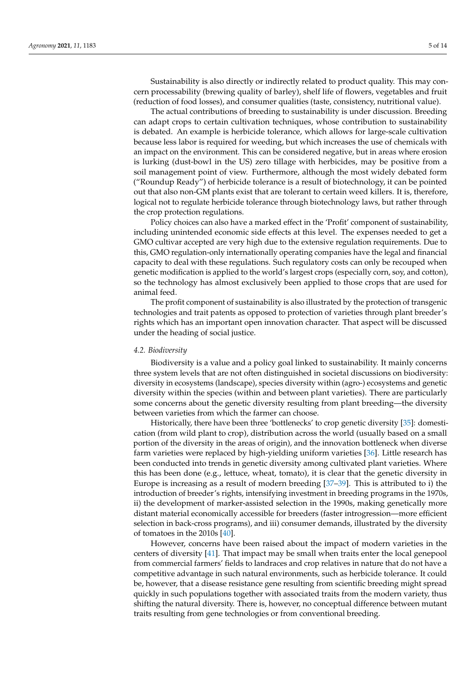Sustainability is also directly or indirectly related to product quality. This may concern processability (brewing quality of barley), shelf life of flowers, vegetables and fruit (reduction of food losses), and consumer qualities (taste, consistency, nutritional value).

The actual contributions of breeding to sustainability is under discussion. Breeding can adapt crops to certain cultivation techniques, whose contribution to sustainability is debated. An example is herbicide tolerance, which allows for large-scale cultivation because less labor is required for weeding, but which increases the use of chemicals with an impact on the environment. This can be considered negative, but in areas where erosion is lurking (dust-bowl in the US) zero tillage with herbicides, may be positive from a soil management point of view. Furthermore, although the most widely debated form ("Roundup Ready") of herbicide tolerance is a result of biotechnology, it can be pointed out that also non-GM plants exist that are tolerant to certain weed killers. It is, therefore, logical not to regulate herbicide tolerance through biotechnology laws, but rather through the crop protection regulations.

Policy choices can also have a marked effect in the 'Profit' component of sustainability, including unintended economic side effects at this level. The expenses needed to get a GMO cultivar accepted are very high due to the extensive regulation requirements. Due to this, GMO regulation-only internationally operating companies have the legal and financial capacity to deal with these regulations. Such regulatory costs can only be recouped when genetic modification is applied to the world's largest crops (especially corn, soy, and cotton), so the technology has almost exclusively been applied to those crops that are used for animal feed.

The profit component of sustainability is also illustrated by the protection of transgenic technologies and trait patents as opposed to protection of varieties through plant breeder's rights which has an important open innovation character. That aspect will be discussed under the heading of social justice.

#### *4.2. Biodiversity*

Biodiversity is a value and a policy goal linked to sustainability. It mainly concerns three system levels that are not often distinguished in societal discussions on biodiversity: diversity in ecosystems (landscape), species diversity within (agro-) ecosystems and genetic diversity within the species (within and between plant varieties). There are particularly some concerns about the genetic diversity resulting from plant breeding—the diversity between varieties from which the farmer can choose.

Historically, there have been three 'bottlenecks' to crop genetic diversity [\[35\]](#page-12-13): domestication (from wild plant to crop), distribution across the world (usually based on a small portion of the diversity in the areas of origin), and the innovation bottleneck when diverse farm varieties were replaced by high-yielding uniform varieties [\[36\]](#page-12-14). Little research has been conducted into trends in genetic diversity among cultivated plant varieties. Where this has been done (e.g., lettuce, wheat, tomato), it is clear that the genetic diversity in Europe is increasing as a result of modern breeding [\[37–](#page-12-15)[39\]](#page-12-16). This is attributed to i) the introduction of breeder's rights, intensifying investment in breeding programs in the 1970s, ii) the development of marker-assisted selection in the 1990s, making genetically more distant material economically accessible for breeders (faster introgression—more efficient selection in back-cross programs), and iii) consumer demands, illustrated by the diversity of tomatoes in the 2010s [\[40\]](#page-12-17).

However, concerns have been raised about the impact of modern varieties in the centers of diversity [\[41\]](#page-12-18). That impact may be small when traits enter the local genepool from commercial farmers' fields to landraces and crop relatives in nature that do not have a competitive advantage in such natural environments, such as herbicide tolerance. It could be, however, that a disease resistance gene resulting from scientific breeding might spread quickly in such populations together with associated traits from the modern variety, thus shifting the natural diversity. There is, however, no conceptual difference between mutant traits resulting from gene technologies or from conventional breeding.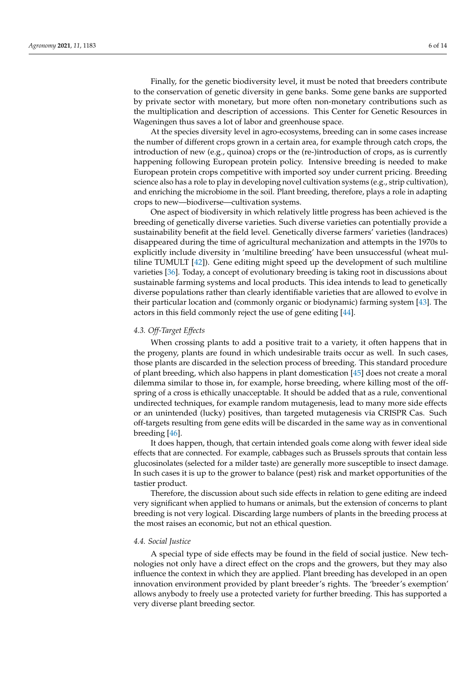Finally, for the genetic biodiversity level, it must be noted that breeders contribute to the conservation of genetic diversity in gene banks. Some gene banks are supported by private sector with monetary, but more often non-monetary contributions such as the multiplication and description of accessions. This Center for Genetic Resources in Wageningen thus saves a lot of labor and greenhouse space.

At the species diversity level in agro-ecosystems, breeding can in some cases increase the number of different crops grown in a certain area, for example through catch crops, the introduction of new (e.g., quinoa) crops or the (re-)introduction of crops, as is currently happening following European protein policy. Intensive breeding is needed to make European protein crops competitive with imported soy under current pricing. Breeding science also has a role to play in developing novel cultivation systems (e.g., strip cultivation), and enriching the microbiome in the soil. Plant breeding, therefore, plays a role in adapting crops to new—biodiverse—cultivation systems.

One aspect of biodiversity in which relatively little progress has been achieved is the breeding of genetically diverse varieties. Such diverse varieties can potentially provide a sustainability benefit at the field level. Genetically diverse farmers' varieties (landraces) disappeared during the time of agricultural mechanization and attempts in the 1970s to explicitly include diversity in 'multiline breeding' have been unsuccessful (wheat multiline TUMULT [\[42\]](#page-12-19)). Gene editing might speed up the development of such multiline varieties [\[36\]](#page-12-14). Today, a concept of evolutionary breeding is taking root in discussions about sustainable farming systems and local products. This idea intends to lead to genetically diverse populations rather than clearly identifiable varieties that are allowed to evolve in their particular location and (commonly organic or biodynamic) farming system [\[43\]](#page-12-20). The actors in this field commonly reject the use of gene editing [\[44\]](#page-12-21).

#### *4.3. Off-Target Effects*

When crossing plants to add a positive trait to a variety, it often happens that in the progeny, plants are found in which undesirable traits occur as well. In such cases, those plants are discarded in the selection process of breeding. This standard procedure of plant breeding, which also happens in plant domestication [\[45\]](#page-12-22) does not create a moral dilemma similar to those in, for example, horse breeding, where killing most of the offspring of a cross is ethically unacceptable. It should be added that as a rule, conventional undirected techniques, for example random mutagenesis, lead to many more side effects or an unintended (lucky) positives, than targeted mutagenesis via CRISPR Cas. Such off-targets resulting from gene edits will be discarded in the same way as in conventional breeding [\[46\]](#page-12-23).

It does happen, though, that certain intended goals come along with fewer ideal side effects that are connected. For example, cabbages such as Brussels sprouts that contain less glucosinolates (selected for a milder taste) are generally more susceptible to insect damage. In such cases it is up to the grower to balance (pest) risk and market opportunities of the tastier product.

Therefore, the discussion about such side effects in relation to gene editing are indeed very significant when applied to humans or animals, but the extension of concerns to plant breeding is not very logical. Discarding large numbers of plants in the breeding process at the most raises an economic, but not an ethical question.

#### *4.4. Social Justice*

A special type of side effects may be found in the field of social justice. New technologies not only have a direct effect on the crops and the growers, but they may also influence the context in which they are applied. Plant breeding has developed in an open innovation environment provided by plant breeder's rights. The 'breeder's exemption' allows anybody to freely use a protected variety for further breeding. This has supported a very diverse plant breeding sector.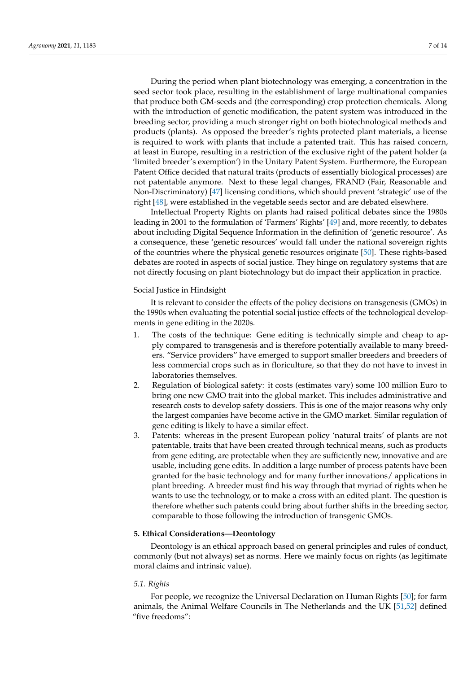During the period when plant biotechnology was emerging, a concentration in the seed sector took place, resulting in the establishment of large multinational companies that produce both GM-seeds and (the corresponding) crop protection chemicals. Along with the introduction of genetic modification, the patent system was introduced in the breeding sector, providing a much stronger right on both biotechnological methods and products (plants). As opposed the breeder's rights protected plant materials, a license is required to work with plants that include a patented trait. This has raised concern, at least in Europe, resulting in a restriction of the exclusive right of the patent holder (a 'limited breeder's exemption') in the Unitary Patent System. Furthermore, the European Patent Office decided that natural traits (products of essentially biological processes) are not patentable anymore. Next to these legal changes, FRAND (Fair, Reasonable and Non-Discriminatory) [\[47\]](#page-12-24) licensing conditions, which should prevent 'strategic' use of the right [\[48\]](#page-12-25), were established in the vegetable seeds sector and are debated elsewhere.

Intellectual Property Rights on plants had raised political debates since the 1980s leading in 2001 to the formulation of 'Farmers' Rights' [\[49\]](#page-12-26) and, more recently, to debates about including Digital Sequence Information in the definition of 'genetic resource'. As a consequence, these 'genetic resources' would fall under the national sovereign rights of the countries where the physical genetic resources originate [\[50\]](#page-12-27). These rights-based debates are rooted in aspects of social justice. They hinge on regulatory systems that are not directly focusing on plant biotechnology but do impact their application in practice.

#### Social Justice in Hindsight

It is relevant to consider the effects of the policy decisions on transgenesis (GMOs) in the 1990s when evaluating the potential social justice effects of the technological developments in gene editing in the 2020s.

- 1. The costs of the technique: Gene editing is technically simple and cheap to apply compared to transgenesis and is therefore potentially available to many breeders. "Service providers" have emerged to support smaller breeders and breeders of less commercial crops such as in floriculture, so that they do not have to invest in laboratories themselves.
- 2. Regulation of biological safety: it costs (estimates vary) some 100 million Euro to bring one new GMO trait into the global market. This includes administrative and research costs to develop safety dossiers. This is one of the major reasons why only the largest companies have become active in the GMO market. Similar regulation of gene editing is likely to have a similar effect.
- 3. Patents: whereas in the present European policy 'natural traits' of plants are not patentable, traits that have been created through technical means, such as products from gene editing, are protectable when they are sufficiently new, innovative and are usable, including gene edits. In addition a large number of process patents have been granted for the basic technology and for many further innovations/ applications in plant breeding. A breeder must find his way through that myriad of rights when he wants to use the technology, or to make a cross with an edited plant. The question is therefore whether such patents could bring about further shifts in the breeding sector, comparable to those following the introduction of transgenic GMOs.

#### **5. Ethical Considerations—Deontology**

Deontology is an ethical approach based on general principles and rules of conduct, commonly (but not always) set as norms. Here we mainly focus on rights (as legitimate moral claims and intrinsic value).

# *5.1. Rights*

For people, we recognize the Universal Declaration on Human Rights [\[50\]](#page-12-27); for farm animals, the Animal Welfare Councils in The Netherlands and the UK [\[51](#page-12-28)[,52\]](#page-13-0) defined "five freedoms":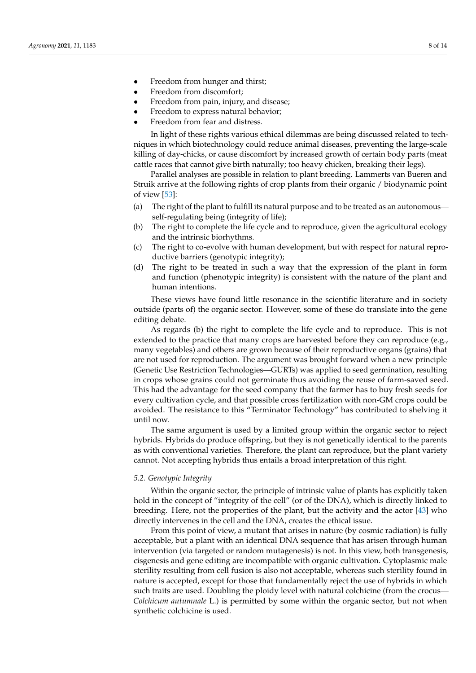- Freedom from hunger and thirst;
- Freedom from discomfort;
- Freedom from pain, injury, and disease;
- Freedom to express natural behavior;
- Freedom from fear and distress.

In light of these rights various ethical dilemmas are being discussed related to techniques in which biotechnology could reduce animal diseases, preventing the large-scale killing of day-chicks, or cause discomfort by increased growth of certain body parts (meat cattle races that cannot give birth naturally; too heavy chicken, breaking their legs).

Parallel analyses are possible in relation to plant breeding. Lammerts van Bueren and Struik arrive at the following rights of crop plants from their organic / biodynamic point of view [\[53\]](#page-13-1):

- (a) The right of the plant to fulfill its natural purpose and to be treated as an autonomous self-regulating being (integrity of life);
- (b) The right to complete the life cycle and to reproduce, given the agricultural ecology and the intrinsic biorhythms.
- (c) The right to co-evolve with human development, but with respect for natural reproductive barriers (genotypic integrity);
- (d) The right to be treated in such a way that the expression of the plant in form and function (phenotypic integrity) is consistent with the nature of the plant and human intentions.

These views have found little resonance in the scientific literature and in society outside (parts of) the organic sector. However, some of these do translate into the gene editing debate.

As regards (b) the right to complete the life cycle and to reproduce. This is not extended to the practice that many crops are harvested before they can reproduce (e.g., many vegetables) and others are grown because of their reproductive organs (grains) that are not used for reproduction. The argument was brought forward when a new principle (Genetic Use Restriction Technologies—GURTs) was applied to seed germination, resulting in crops whose grains could not germinate thus avoiding the reuse of farm-saved seed. This had the advantage for the seed company that the farmer has to buy fresh seeds for every cultivation cycle, and that possible cross fertilization with non-GM crops could be avoided. The resistance to this "Terminator Technology" has contributed to shelving it until now.

The same argument is used by a limited group within the organic sector to reject hybrids. Hybrids do produce offspring, but they is not genetically identical to the parents as with conventional varieties. Therefore, the plant can reproduce, but the plant variety cannot. Not accepting hybrids thus entails a broad interpretation of this right.

# *5.2. Genotypic Integrity*

Within the organic sector, the principle of intrinsic value of plants has explicitly taken hold in the concept of "integrity of the cell" (or of the DNA), which is directly linked to breeding. Here, not the properties of the plant, but the activity and the actor [\[43\]](#page-12-20) who directly intervenes in the cell and the DNA, creates the ethical issue.

From this point of view, a mutant that arises in nature (by cosmic radiation) is fully acceptable, but a plant with an identical DNA sequence that has arisen through human intervention (via targeted or random mutagenesis) is not. In this view, both transgenesis, cisgenesis and gene editing are incompatible with organic cultivation. Cytoplasmic male sterility resulting from cell fusion is also not acceptable, whereas such sterility found in nature is accepted, except for those that fundamentally reject the use of hybrids in which such traits are used. Doubling the ploidy level with natural colchicine (from the crocus— *Colchicum autumnale* L.) is permitted by some within the organic sector, but not when synthetic colchicine is used.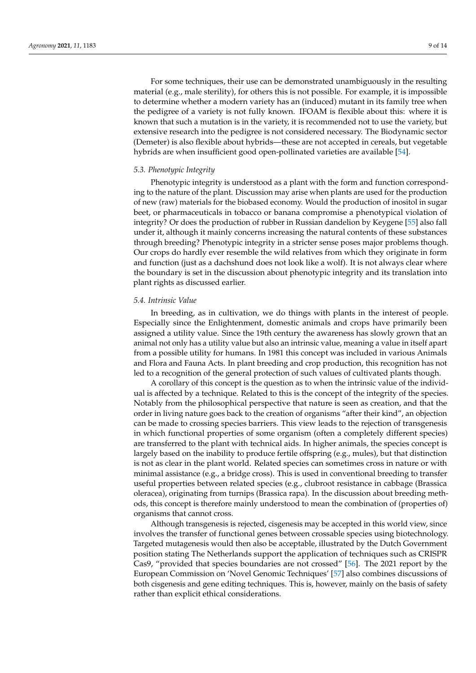For some techniques, their use can be demonstrated unambiguously in the resulting material (e.g., male sterility), for others this is not possible. For example, it is impossible to determine whether a modern variety has an (induced) mutant in its family tree when

the pedigree of a variety is not fully known. IFOAM is flexible about this: where it is known that such a mutation is in the variety, it is recommended not to use the variety, but extensive research into the pedigree is not considered necessary. The Biodynamic sector (Demeter) is also flexible about hybrids—these are not accepted in cereals, but vegetable hybrids are when insufficient good open-pollinated varieties are available [\[54\]](#page-13-2).

## *5.3. Phenotypic Integrity*

Phenotypic integrity is understood as a plant with the form and function corresponding to the nature of the plant. Discussion may arise when plants are used for the production of new (raw) materials for the biobased economy. Would the production of inositol in sugar beet, or pharmaceuticals in tobacco or banana compromise a phenotypical violation of integrity? Or does the production of rubber in Russian dandelion by Keygene [\[55\]](#page-13-3) also fall under it, although it mainly concerns increasing the natural contents of these substances through breeding? Phenotypic integrity in a stricter sense poses major problems though. Our crops do hardly ever resemble the wild relatives from which they originate in form and function (just as a dachshund does not look like a wolf). It is not always clear where the boundary is set in the discussion about phenotypic integrity and its translation into plant rights as discussed earlier.

# *5.4. Intrinsic Value*

In breeding, as in cultivation, we do things with plants in the interest of people. Especially since the Enlightenment, domestic animals and crops have primarily been assigned a utility value. Since the 19th century the awareness has slowly grown that an animal not only has a utility value but also an intrinsic value, meaning a value in itself apart from a possible utility for humans. In 1981 this concept was included in various Animals and Flora and Fauna Acts. In plant breeding and crop production, this recognition has not led to a recognition of the general protection of such values of cultivated plants though.

A corollary of this concept is the question as to when the intrinsic value of the individual is affected by a technique. Related to this is the concept of the integrity of the species. Notably from the philosophical perspective that nature is seen as creation, and that the order in living nature goes back to the creation of organisms "after their kind", an objection can be made to crossing species barriers. This view leads to the rejection of transgenesis in which functional properties of some organism (often a completely different species) are transferred to the plant with technical aids. In higher animals, the species concept is largely based on the inability to produce fertile offspring (e.g., mules), but that distinction is not as clear in the plant world. Related species can sometimes cross in nature or with minimal assistance (e.g., a bridge cross). This is used in conventional breeding to transfer useful properties between related species (e.g., clubroot resistance in cabbage (Brassica oleracea), originating from turnips (Brassica rapa). In the discussion about breeding methods, this concept is therefore mainly understood to mean the combination of (properties of) organisms that cannot cross.

Although transgenesis is rejected, cisgenesis may be accepted in this world view, since involves the transfer of functional genes between crossable species using biotechnology. Targeted mutagenesis would then also be acceptable, illustrated by the Dutch Government position stating The Netherlands support the application of techniques such as CRISPR Cas9, "provided that species boundaries are not crossed" [\[56\]](#page-13-4). The 2021 report by the European Commission on 'Novel Genomic Techniques' [\[57\]](#page-13-5) also combines discussions of both cisgenesis and gene editing techniques. This is, however, mainly on the basis of safety rather than explicit ethical considerations.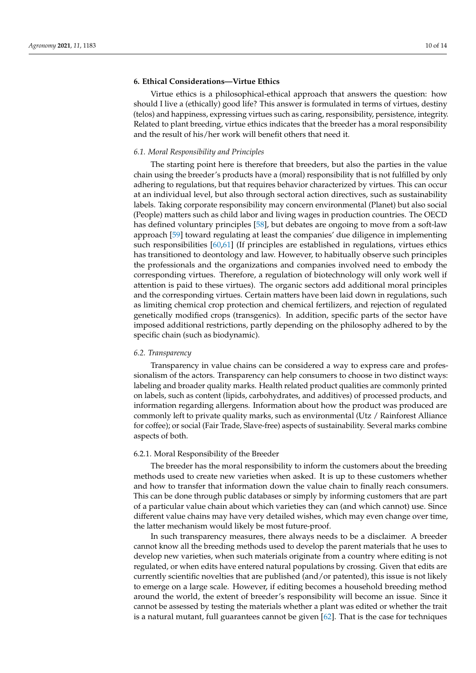# **6. Ethical Considerations—Virtue Ethics**

Virtue ethics is a philosophical-ethical approach that answers the question: how should I live a (ethically) good life? This answer is formulated in terms of virtues, destiny (telos) and happiness, expressing virtues such as caring, responsibility, persistence, integrity. Related to plant breeding, virtue ethics indicates that the breeder has a moral responsibility and the result of his/her work will benefit others that need it.

## *6.1. Moral Responsibility and Principles*

The starting point here is therefore that breeders, but also the parties in the value chain using the breeder's products have a (moral) responsibility that is not fulfilled by only adhering to regulations, but that requires behavior characterized by virtues. This can occur at an individual level, but also through sectoral action directives, such as sustainability labels. Taking corporate responsibility may concern environmental (Planet) but also social (People) matters such as child labor and living wages in production countries. The OECD has defined voluntary principles [\[58\]](#page-13-6), but debates are ongoing to move from a soft-law approach [\[59\]](#page-13-7) toward regulating at least the companies' due diligence in implementing such responsibilities [\[60](#page-13-8)[,61\]](#page-13-9) (If principles are established in regulations, virtues ethics has transitioned to deontology and law. However, to habitually observe such principles the professionals and the organizations and companies involved need to embody the corresponding virtues. Therefore, a regulation of biotechnology will only work well if attention is paid to these virtues). The organic sectors add additional moral principles and the corresponding virtues. Certain matters have been laid down in regulations, such as limiting chemical crop protection and chemical fertilizers, and rejection of regulated genetically modified crops (transgenics). In addition, specific parts of the sector have imposed additional restrictions, partly depending on the philosophy adhered to by the specific chain (such as biodynamic).

#### *6.2. Transparency*

Transparency in value chains can be considered a way to express care and professionalism of the actors. Transparency can help consumers to choose in two distinct ways: labeling and broader quality marks. Health related product qualities are commonly printed on labels, such as content (lipids, carbohydrates, and additives) of processed products, and information regarding allergens. Information about how the product was produced are commonly left to private quality marks, such as environmental (Utz / Rainforest Alliance for coffee); or social (Fair Trade, Slave-free) aspects of sustainability. Several marks combine aspects of both.

#### 6.2.1. Moral Responsibility of the Breeder

The breeder has the moral responsibility to inform the customers about the breeding methods used to create new varieties when asked. It is up to these customers whether and how to transfer that information down the value chain to finally reach consumers. This can be done through public databases or simply by informing customers that are part of a particular value chain about which varieties they can (and which cannot) use. Since different value chains may have very detailed wishes, which may even change over time, the latter mechanism would likely be most future-proof.

In such transparency measures, there always needs to be a disclaimer. A breeder cannot know all the breeding methods used to develop the parent materials that he uses to develop new varieties, when such materials originate from a country where editing is not regulated, or when edits have entered natural populations by crossing. Given that edits are currently scientific novelties that are published (and/or patented), this issue is not likely to emerge on a large scale. However, if editing becomes a household breeding method around the world, the extent of breeder's responsibility will become an issue. Since it cannot be assessed by testing the materials whether a plant was edited or whether the trait is a natural mutant, full guarantees cannot be given  $[62]$ . That is the case for techniques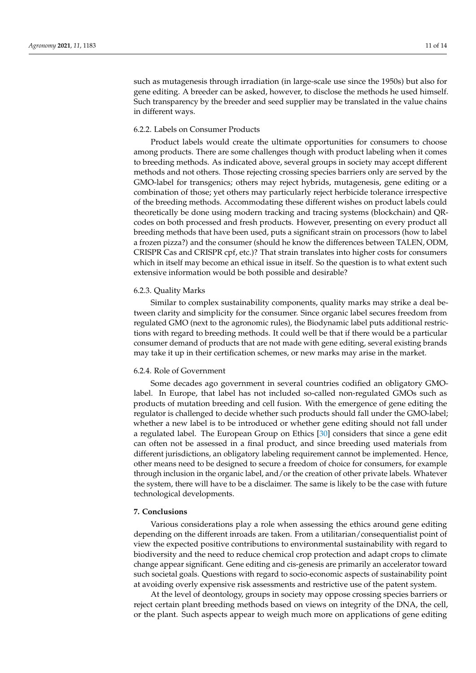such as mutagenesis through irradiation (in large-scale use since the 1950s) but also for gene editing. A breeder can be asked, however, to disclose the methods he used himself. Such transparency by the breeder and seed supplier may be translated in the value chains in different ways.

# 6.2.2. Labels on Consumer Products

Product labels would create the ultimate opportunities for consumers to choose among products. There are some challenges though with product labeling when it comes to breeding methods. As indicated above, several groups in society may accept different methods and not others. Those rejecting crossing species barriers only are served by the GMO-label for transgenics; others may reject hybrids, mutagenesis, gene editing or a combination of those; yet others may particularly reject herbicide tolerance irrespective of the breeding methods. Accommodating these different wishes on product labels could theoretically be done using modern tracking and tracing systems (blockchain) and QRcodes on both processed and fresh products. However, presenting on every product all breeding methods that have been used, puts a significant strain on processors (how to label a frozen pizza?) and the consumer (should he know the differences between TALEN, ODM, CRISPR Cas and CRISPR cpf, etc.)? That strain translates into higher costs for consumers which in itself may become an ethical issue in itself. So the question is to what extent such extensive information would be both possible and desirable?

#### 6.2.3. Quality Marks

Similar to complex sustainability components, quality marks may strike a deal between clarity and simplicity for the consumer. Since organic label secures freedom from regulated GMO (next to the agronomic rules), the Biodynamic label puts additional restrictions with regard to breeding methods. It could well be that if there would be a particular consumer demand of products that are not made with gene editing, several existing brands may take it up in their certification schemes, or new marks may arise in the market.

#### 6.2.4. Role of Government

Some decades ago government in several countries codified an obligatory GMOlabel. In Europe, that label has not included so-called non-regulated GMOs such as products of mutation breeding and cell fusion. With the emergence of gene editing the regulator is challenged to decide whether such products should fall under the GMO-label; whether a new label is to be introduced or whether gene editing should not fall under a regulated label. The European Group on Ethics [\[30\]](#page-12-8) considers that since a gene edit can often not be assessed in a final product, and since breeding used materials from different jurisdictions, an obligatory labeling requirement cannot be implemented. Hence, other means need to be designed to secure a freedom of choice for consumers, for example through inclusion in the organic label, and/or the creation of other private labels. Whatever the system, there will have to be a disclaimer. The same is likely to be the case with future technological developments.

# **7. Conclusions**

Various considerations play a role when assessing the ethics around gene editing depending on the different inroads are taken. From a utilitarian/consequentialist point of view the expected positive contributions to environmental sustainability with regard to biodiversity and the need to reduce chemical crop protection and adapt crops to climate change appear significant. Gene editing and cis-genesis are primarily an accelerator toward such societal goals. Questions with regard to socio-economic aspects of sustainability point at avoiding overly expensive risk assessments and restrictive use of the patent system.

At the level of deontology, groups in society may oppose crossing species barriers or reject certain plant breeding methods based on views on integrity of the DNA, the cell, or the plant. Such aspects appear to weigh much more on applications of gene editing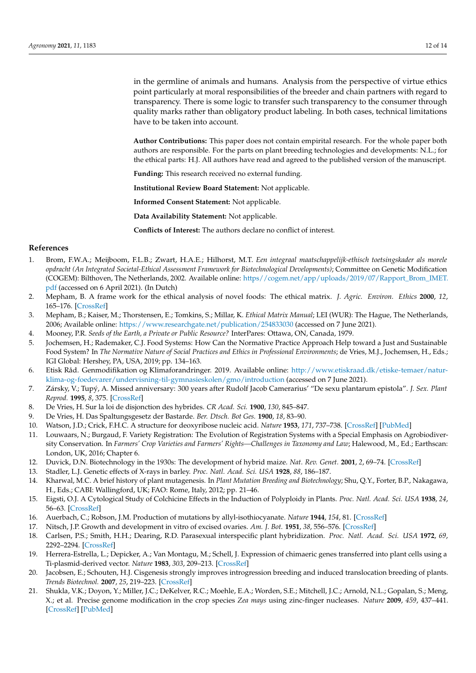in the germline of animals and humans. Analysis from the perspective of virtue ethics point particularly at moral responsibilities of the breeder and chain partners with regard to transparency. There is some logic to transfer such transparency to the consumer through quality marks rather than obligatory product labeling. In both cases, technical limitations have to be taken into account.

**Author Contributions:** This paper does not contain empirital research. For the whole paper both authors are responsible. For the parts on plant breeding technologies and developments: N.L.; for the ethical parts: H.J. All authors have read and agreed to the published version of the manuscript.

**Funding:** This research received no external funding.

**Institutional Review Board Statement:** Not applicable.

**Informed Consent Statement:** Not applicable.

**Data Availability Statement:** Not applicable.

**Conflicts of Interest:** The authors declare no conflict of interest.

## **References**

- <span id="page-11-0"></span>1. Brom, F.W.A.; Meijboom, F.L.B.; Zwart, H.A.E.; Hilhorst, M.T. *Een integraal maatschappelijk-ethisch toetsingskader als morele opdracht (An Integrated Societal-Ethical Assessment Framework for Biotechnological Developments)*; Committee on Genetic Modification (COGEM): Bilthoven, The Netherlands, 2002. Available online: [https//cogem.net/app/uploads/2019/07/Rapport\\_Brom\\_IMET.](https//cogem.net/app/uploads/2019/07/Rapport_Brom_IMET.pdf) [pdf](https//cogem.net/app/uploads/2019/07/Rapport_Brom_IMET.pdf) (accessed on 6 April 2021). (In Dutch)
- <span id="page-11-1"></span>2. Mepham, B. A frame work for the ethical analysis of novel foods: The ethical matrix. *J. Agric. Environ. Ethics* **2000**, *12*, 165–176. [\[CrossRef\]](http://doi.org/10.1023/A:1009542714497)
- <span id="page-11-2"></span>3. Mepham, B.; Kaiser, M.; Thorstensen, E.; Tomkins, S.; Millar, K. *Ethical Matrix Manual*; LEI (WUR): The Hague, The Netherlands, 2006; Available online: <https://www.researchgate.net/publication/254833030> (accessed on 7 June 2021).
- <span id="page-11-3"></span>4. Mooney, P.R. *Seeds of the Earth, a Private or Public Resource?* InterPares: Ottawa, ON, Canada, 1979.
- <span id="page-11-4"></span>5. Jochemsen, H.; Rademaker, C.J. Food Systems: How Can the Normative Practice Approach Help toward a Just and Sustainable Food System? In *The Normative Nature of Social Practices and Ethics in Professional Environments; de Vries, M.J., Jochemsen, H., Eds.;* IGI Global: Hershey, PA, USA, 2019; pp. 134–163.
- <span id="page-11-5"></span>6. Etisk Råd. Genmodifikation og Klimaforandringer. 2019. Available online: [http://www.etiskraad.dk/etiske-temaer/natur](http://www.etiskraad.dk/etiske-temaer/natur-klima-og-foedevarer/undervisning-til-gymnasieskolen/gmo/introduction)[klima-og-foedevarer/undervisning-til-gymnasieskolen/gmo/introduction](http://www.etiskraad.dk/etiske-temaer/natur-klima-og-foedevarer/undervisning-til-gymnasieskolen/gmo/introduction) (accessed on 7 June 2021).
- <span id="page-11-6"></span>7. Zársky, V.; Tupý, A. Missed anniversary: 300 years after Rudolf Jacob Camerarius' "De sexu plantarum epistola". *J. Sex. Plant Reprod.* **1995**, *8*, 375. [\[CrossRef\]](http://doi.org/10.1007/BF00243206)
- <span id="page-11-7"></span>8. De Vries, H. Sur la loi de disjonction des hybrides. *CR Acad. Sci.* **1900**, *130*, 845–847.
- <span id="page-11-8"></span>9. De Vries, H. Das Spaltungsgesetz der Bastarde. *Ber. Dtsch. Bot Ges.* **1900**, *18*, 83–90.
- <span id="page-11-9"></span>10. Watson, J.D.; Crick, F.H.C. A structure for deoxyribose nucleic acid. *Nature* **1953**, *171*, 737–738. [\[CrossRef\]](http://doi.org/10.1038/171737a0) [\[PubMed\]](http://www.ncbi.nlm.nih.gov/pubmed/13054692)
- <span id="page-11-10"></span>11. Louwaars, N.; Burgaud, F. Variety Registration: The Evolution of Registration Systems with a Special Emphasis on Agrobiodiversity Conservation. In *Farmers' Crop Varieties and Farmers' Rights—Challenges in Taxonomy and Law*; Halewood, M., Ed.; Earthscan: London, UK, 2016; Chapter 6.
- <span id="page-11-11"></span>12. Duvick, D.N. Biotechnology in the 1930s: The development of hybrid maize. *Nat. Rev. Genet.* **2001**, *2*, 69–74. [\[CrossRef\]](http://doi.org/10.1038/35047587)
- <span id="page-11-12"></span>13. Stadler, L.J. Genetic effects of X-rays in barley. *Proc. Natl. Acad. Sci. USA* **1928**, *88*, 186–187.
- <span id="page-11-13"></span>14. Kharwal, M.C. A brief history of plant mutagenesis. In *Plant Mutation Breeding and Biotechnology*; Shu, Q.Y., Forter, B.P., Nakagawa, H., Eds.; CABI: Wallingford, UK; FAO: Rome, Italy, 2012; pp. 21–46.
- <span id="page-11-14"></span>15. Eigsti, O.J. A Cytological Study of Colchicine Effects in the Induction of Polyploidy in Plants. *Proc. Natl. Acad. Sci. USA* **1938**, *24*, 56–63. [\[CrossRef\]](http://doi.org/10.1073/pnas.24.2.56)
- <span id="page-11-15"></span>16. Auerbach, C.; Robson, J.M. Production of mutations by allyl-isothiocyanate. *Nature* **1944**, *154*, 81. [\[CrossRef\]](http://doi.org/10.1038/154081a0)
- <span id="page-11-16"></span>17. Nitsch, J.P. Growth and development in vitro of excised ovaries. *Am. J. Bot.* **1951**, *38*, 556–576. [\[CrossRef\]](http://doi.org/10.1002/j.1537-2197.1951.tb14860.x)
- <span id="page-11-17"></span>18. Carlsen, P.S.; Smith, H.H.; Dearing, R.D. Parasexual interspecific plant hybridization. *Proc. Natl. Acad. Sci. USA* **1972**, *69*, 2292–2294. [\[CrossRef\]](http://doi.org/10.1073/pnas.69.8.2292)
- <span id="page-11-18"></span>19. Herrera-Estrella, L.; Depicker, A.; Van Montagu, M.; Schell, J. Expression of chimaeric genes transferred into plant cells using a Ti-plasmid-derived vector. *Nature* **1983**, *303*, 209–213. [\[CrossRef\]](http://doi.org/10.1038/303209a0)
- <span id="page-11-19"></span>20. Jacobsen, E.; Schouten, H.J. Cisgenesis strongly improves introgression breeding and induced translocation breeding of plants. *Trends Biotechnol.* **2007**, *25*, 219–223. [\[CrossRef\]](http://doi.org/10.1016/j.tibtech.2007.03.008)
- <span id="page-11-20"></span>21. Shukla, V.K.; Doyon, Y.; Miller, J.C.; DeKelver, R.C.; Moehle, E.A.; Worden, S.E.; Mitchell, J.C.; Arnold, N.L.; Gopalan, S.; Meng, X.; et al. Precise genome modification in the crop species *Zea mays* using zinc-finger nucleases. *Nature* **2009**, *459*, 437–441. [\[CrossRef\]](http://doi.org/10.1038/nature07992) [\[PubMed\]](http://www.ncbi.nlm.nih.gov/pubmed/19404259)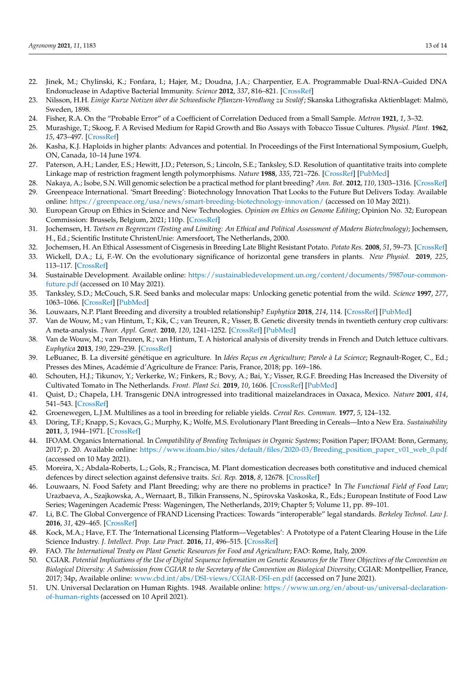- <span id="page-12-0"></span>22. Jinek, M.; Chylinski, K.; Fonfara, I.; Hajer, M.; Doudna, J.A.; Charpentier, E.A. Programmable Dual-RNA–Guided DNA Endonuclease in Adaptive Bacterial Immunity. *Science* **2012**, *337*, 816–821. [\[CrossRef\]](http://doi.org/10.1126/science.1225829)
- <span id="page-12-1"></span>23. Nilsson, H.H. *Einige Kurze Notizen über die Schwedische Pflanzen-Veredlung zu Svalöf*; Skanska Lithografiska Aktienblaget: Malmö, Sweden, 1898.
- <span id="page-12-2"></span>24. Fisher, R.A. On the "Probable Error" of a Coefficient of Correlation Deduced from a Small Sample. *Metron* **1921**, *1*, 3–32.
- <span id="page-12-3"></span>25. Murashige, T.; Skoog, F. A Revised Medium for Rapid Growth and Bio Assays with Tobacco Tissue Cultures. *Physiol. Plant.* **1962**, *15*, 473–497. [\[CrossRef\]](http://doi.org/10.1111/j.1399-3054.1962.tb08052.x)
- <span id="page-12-4"></span>26. Kasha, K.J. Haploids in higher plants: Advances and potential. In Proceedings of the First International Symposium, Guelph, ON, Canada, 10–14 June 1974.
- <span id="page-12-5"></span>27. Paterson, A.H.; Lander, E.S.; Hewitt, J.D.; Peterson, S.; Lincoln, S.E.; Tanksley, S.D. Resolution of quantitative traits into complete Linkage map of restriction fragment length polymorphisms. *Nature* **1988**, *335*, 721–726. [\[CrossRef\]](http://doi.org/10.1038/335721a0) [\[PubMed\]](http://www.ncbi.nlm.nih.gov/pubmed/2902517)
- <span id="page-12-6"></span>28. Nakaya, A.; Isobe, S.N. Will genomic selection be a practical method for plant breeding? *Ann. Bot.* **2012**, *110*, 1303–1316. [\[CrossRef\]](http://doi.org/10.1093/aob/mcs109)
- <span id="page-12-7"></span>29. Greenpeace International. 'Smart Breeding': Biotechnology Innovation That Looks to the Future But Delivers Today. Available online: <https://greenpeace.org/usa/news/smart-breeding-biotechnology-innovation/> (accessed on 10 May 2021).
- <span id="page-12-8"></span>30. European Group on Ethics in Science and New Technologies. *Opinion on Ethics on Genome Editing*; Opinion No. 32; European Commission: Brussels, Belgium, 2021; 110p. [\[CrossRef\]](http://doi.org/10.2777/659034)
- <span id="page-12-9"></span>31. Jochemsen, H. *Toetsen en Begrenzen (Testing and Limiting: An Ethical and Political Assessment of Modern Biotechnology)*; Jochemsen, H., Ed.; Scientific Institute ChristenUnie: Amersfoort, The Netherlands, 2000.
- <span id="page-12-10"></span>32. Jochemsen, H. An Ethical Assessment of Cisgenesis in Breeding Late Blight Resistant Potato. *Potato Res.* **2008**, *51*, 59–73. [\[CrossRef\]](http://doi.org/10.1007/s11540-008-9090-5)
- <span id="page-12-11"></span>33. Wickell, D.A.; Li, F.-W. On the evolutionary significance of horizontal gene transfers in plants. *New Physiol.* **2019**, *225*, 113–117. [\[CrossRef\]](http://doi.org/10.1111/nph.16022)
- <span id="page-12-12"></span>34. Sustainable Development. Available online: [https://sustainabledevelopment.un.org/content/documents/5987our-common](https://sustainabledevelopment.un.org/content/documents/5987our-common-future.pdf)[future.pdf](https://sustainabledevelopment.un.org/content/documents/5987our-common-future.pdf) (accessed on 10 May 2021).
- <span id="page-12-13"></span>35. Tanksley, S.D.; McCouch, S.R. Seed banks and molecular maps: Unlocking genetic potential from the wild. *Science* **1997**, *277*, 1063–1066. [\[CrossRef\]](http://doi.org/10.1126/science.277.5329.1063) [\[PubMed\]](http://www.ncbi.nlm.nih.gov/pubmed/9262467)
- <span id="page-12-14"></span>36. Louwaars, N.P. Plant Breeding and diversity a troubled relationship? *Euphytica* **2018**, *214*, 114. [\[CrossRef\]](http://doi.org/10.1007/s10681-018-2192-5) [\[PubMed\]](http://www.ncbi.nlm.nih.gov/pubmed/30996394)
- <span id="page-12-15"></span>37. Van de Wouw, M.; van Hintum, T.; Kik, C.; van Treuren, R.; Visser, B. Genetic diversity trends in twentieth century crop cultivars: A meta-analysis. *Theor. Appl. Genet.* **2010**, *120*, 1241–1252. [\[CrossRef\]](http://doi.org/10.1007/s00122-009-1252-6) [\[PubMed\]](http://www.ncbi.nlm.nih.gov/pubmed/20054521)
- 38. Van de Wouw, M.; van Treuren, R.; van Hintum, T. A historical analysis of diversity trends in French and Dutch lettuce cultivars. *Euphytica* **2013**, *190*, 229–239. [\[CrossRef\]](http://doi.org/10.1007/s10681-012-0811-0)
- <span id="page-12-16"></span>39. LeBuanec, B. La diversité génétique en agriculture. In *Idées Reçus en Agriculture; Parole à La Science*; Regnault-Roger, C., Ed.; Presses des Mines, Académie d'Agriculture de France: Paris, France, 2018; pp. 169–186.
- <span id="page-12-17"></span>40. Schouten, H.J.; Tikunov, Y.; Verkerke, W.; Finkers, R.; Bovy, A.; Bai, Y.; Visser, R.G.F. Breeding Has Increased the Diversity of Cultivated Tomato in The Netherlands. *Front. Plant Sci.* **2019**, *10*, 1606. [\[CrossRef\]](http://doi.org/10.3389/fpls.2019.01606) [\[PubMed\]](http://www.ncbi.nlm.nih.gov/pubmed/31921253)
- <span id="page-12-18"></span>41. Quist, D.; Chapela, I.H. Transgenic DNA introgressed into traditional maizelandraces in Oaxaca, Mexico. *Nature* **2001**, *414*, 541–543. [\[CrossRef\]](http://doi.org/10.1038/35107068)
- <span id="page-12-19"></span>42. Groenewegen, L.J.M. Multilines as a tool in breeding for reliable yields. *Cereal Res. Commun.* **1977**, *5*, 124–132.
- <span id="page-12-20"></span>43. Döring, T.F.; Knapp, S.; Kovacs, G.; Murphy, K.; Wolfe, M.S. Evolutionary Plant Breeding in Cereals—Into a New Era. *Sustainability* **2011**, *3*, 1944–1971. [\[CrossRef\]](http://doi.org/10.3390/su3101944)
- <span id="page-12-21"></span>44. IFOAM. Organics International. In *Compatibility of Breeding Techniques in Organic Systems*; Position Paper; IFOAM: Bonn, Germany, 2017; p. 20. Available online: [https://www.ifoam.bio/sites/default/files/2020-03/Breeding\\_position\\_paper\\_v01\\_web\\_0.pdf](https://www.ifoam.bio/sites/default/files/2020-03/Breeding_position_paper_v01_web_0.pdf) (accessed on 10 May 2021).
- <span id="page-12-22"></span>45. Moreira, X.; Abdala-Roberts, L.; Gols, R.; Francisca, M. Plant domestication decreases both constitutive and induced chemical defences by direct selection against defensive traits. *Sci. Rep.* **2018**, *8*, 12678. [\[CrossRef\]](http://doi.org/10.1038/s41598-018-31041-0)
- <span id="page-12-23"></span>46. Louwaars, N. Food Safety and Plant Breeding; why are there no problems in practice? In *The Functional Field of Food Law*; Urazbaeva, A., Szajkowska, A., Wernaart, B., Tilkin Franssens, N., Spirovska Vaskoska, R., Eds.; European Institute of Food Law Series; Wageningen Academic Press: Wageningen, The Netherlands, 2019; Chapter 5; Volume 11, pp. 89–101.
- <span id="page-12-24"></span>47. Li, B.C. The Global Convergence of FRAND Licensing Practices: Towards "interoperable" legal standards. *Berkeley Technol. Law J.* **2016**, *31*, 429–465. [\[CrossRef\]](http://doi.org/10.15779/Z380Z7J)
- <span id="page-12-25"></span>48. Kock, M.A.; Have, F.T. The 'International Licensing Platform—Vegetables': A Prototype of a Patent Clearing House in the Life Science Industry. *J. Intellect. Prop. Law Pract.* **2016**, *11*, 496–515. [\[CrossRef\]](http://doi.org/10.1093/jiplp/jpw073)
- <span id="page-12-26"></span>49. FAO. *The International Treaty on Plant Genetic Resources for Food and Agriculture*; FAO: Rome, Italy, 2009.
- <span id="page-12-27"></span>50. CGIAR. *Potential Implications of the Use of Digital Sequence Information on Genetic Resources for the Three Objectives of the Convention on Biological Diversity: A Submission from CGIAR to the Secretary of the Convention on Biological Diversity*; CGIAR: Montpellier, France, 2017; 34p, Available online: <www.cbd.int/abs/DSI-views/CGIAR-DSI-en.pdf> (accessed on 7 June 2021).
- <span id="page-12-28"></span>51. UN. Universal Declaration on Human Rights. 1948. Available online: [https://www.un.org/en/about-us/universal-declaration](https://www.un.org/en/about-us/universal-declaration-of-human-rights)[of-human-rights](https://www.un.org/en/about-us/universal-declaration-of-human-rights) (accessed on 10 April 2021).